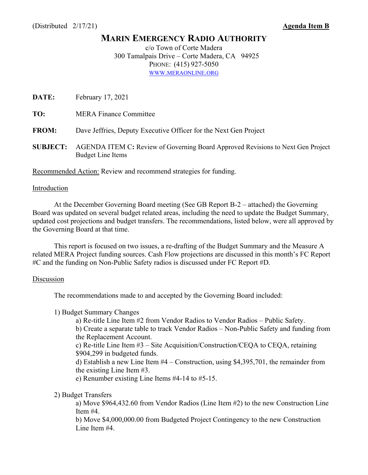# **MARIN EMERGENCY RADIO AUTHORITY**

c/o Town of Corte Madera 300 Tamalpais Drive – Corte Madera, CA 94925 PHONE: (415) 927-5050 WWW.MERAONLINE.ORG

**DATE:** February 17, 2021

**TO:** MERA Finance Committee

**FROM:** Dave Jeffries, Deputy Executive Officer for the Next Gen Project

**SUBJECT:** AGENDA ITEM C**:** Review of Governing Board Approved Revisions to Next Gen Project Budget Line Items

Recommended Action: Review and recommend strategies for funding.

### Introduction

At the December Governing Board meeting (See GB Report B-2 – attached) the Governing Board was updated on several budget related areas, including the need to update the Budget Summary, updated cost projections and budget transfers. The recommendations, listed below, were all approved by the Governing Board at that time.

This report is focused on two issues, a re-drafting of the Budget Summary and the Measure A related MERA Project funding sources. Cash Flow projections are discussed in this month's FC Report #C and the funding on Non-Public Safety radios is discussed under FC Report #D.

### **Discussion**

The recommendations made to and accepted by the Governing Board included:

1) Budget Summary Changes

a) Re-title Line Item #2 from Vendor Radios to Vendor Radios – Public Safety. b) Create a separate table to track Vendor Radios – Non-Public Safety and funding from the Replacement Account. c) Re-title Line Item #3 – Site Acquisition/Construction/CEQA to CEQA, retaining \$904,299 in budgeted funds. d) Establish a new Line Item #4 – Construction, using \$4,395,701, the remainder from the existing Line Item #3. e) Renumber existing Line Items #4-14 to #5-15.

2) Budget Transfers

a) Move \$964,432.60 from Vendor Radios (Line Item #2) to the new Construction Line Item #4.

b) Move \$4,000,000.00 from Budgeted Project Contingency to the new Construction Line Item #4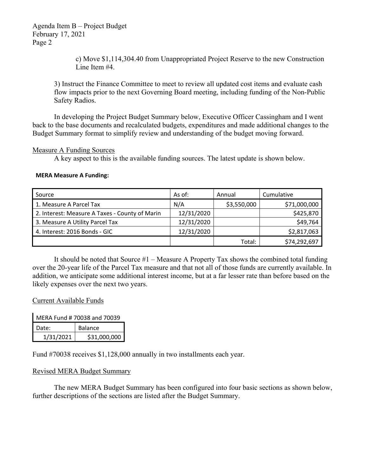Agenda Item B – Project Budget February 17, 2021 Page 2

> c) Move \$1,114,304.40 from Unappropriated Project Reserve to the new Construction Line Item #4.

3) Instruct the Finance Committee to meet to review all updated cost items and evaluate cash flow impacts prior to the next Governing Board meeting, including funding of the Non-Public Safety Radios.

In developing the Project Budget Summary below, Executive Officer Cassingham and I went back to the base documents and recalculated budgets, expenditures and made additional changes to the Budget Summary format to simplify review and understanding of the budget moving forward.

### Measure A Funding Sources

A key aspect to this is the available funding sources. The latest update is shown below.

### **MERA Measure A Funding:**

| Source                                         | As of:     | Annual      | Cumulative   |
|------------------------------------------------|------------|-------------|--------------|
| 1. Measure A Parcel Tax                        | N/A        | \$3,550,000 | \$71,000,000 |
| 2. Interest: Measure A Taxes - County of Marin | 12/31/2020 |             | \$425,870    |
| 3. Measure A Utility Parcel Tax                | 12/31/2020 |             | \$49,764     |
| 4. Interest: 2016 Bonds - GIC                  | 12/31/2020 |             | \$2,817,063  |
|                                                |            | Total:      | \$74,292,697 |

It should be noted that Source #1 – Measure A Property Tax shows the combined total funding over the 20-year life of the Parcel Tax measure and that not all of those funds are currently available. In addition, we anticipate some additional interest income, but at a far lesser rate than before based on the likely expenses over the next two years.

### Current Available Funds

| MERA Fund # 70038 and 70039 |              |  |  |
|-----------------------------|--------------|--|--|
| l Date:                     | Balance      |  |  |
| 1/31/2021                   | \$31,000,000 |  |  |

Fund #70038 receives \$1,128,000 annually in two installments each year.

# Revised MERA Budget Summary

 The new MERA Budget Summary has been configured into four basic sections as shown below, further descriptions of the sections are listed after the Budget Summary.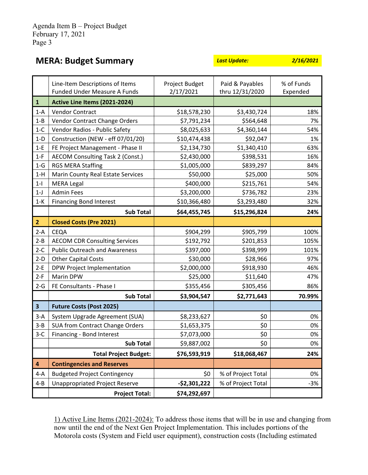| <b>MERA: Budget Summary</b> |                                     | <b>Last Update:</b> | 2/16/2021       |            |
|-----------------------------|-------------------------------------|---------------------|-----------------|------------|
|                             | Line-Item Descriptions of Items     | Project Budget      | Paid & Payables | % of Funds |
|                             | <b>Funded Under Measure A Funds</b> | 2/17/2021           | thru 12/31/2020 | Expended   |

|                         | Funded Under Measure A Funds            | 2/17/2021     | thru 12/31/2020    | Expended |
|-------------------------|-----------------------------------------|---------------|--------------------|----------|
| $\mathbf 1$             | Active Line Items (2021-2024)           |               |                    |          |
| $1-A$                   | <b>Vendor Contract</b>                  | \$18,578,230  | \$3,430,724        | 18%      |
| $1 - B$                 | Vendor Contract Change Orders           | \$7,791,234   | \$564,648          | 7%       |
| $1-C$                   | Vendor Radios - Public Safety           | \$8,025,633   | \$4,360,144        | 54%      |
| $1-D$                   | Construction (NEW - eff 07/01/20)       | \$10,474,438  | \$92,047           | 1%       |
| $1-E$                   | FE Project Management - Phase II        | \$2,134,730   | \$1,340,410        | 63%      |
| $1-F$                   | <b>AECOM Consulting Task 2 (Const.)</b> | \$2,430,000   | \$398,531          | 16%      |
| $1-G$                   | <b>RGS MERA Staffing</b>                | \$1,005,000   | \$839,297          | 84%      |
| $1-H$                   | Marin County Real Estate Services       | \$50,000      | \$25,000           | 50%      |
| $1 - 1$                 | <b>MERA Legal</b>                       | \$400,000     | \$215,761          | 54%      |
| $1-J$                   | <b>Admin Fees</b>                       | \$3,200,000   | \$736,782          | 23%      |
| $1-K$                   | <b>Financing Bond Interest</b>          | \$10,366,480  | \$3,293,480        | 32%      |
|                         | <b>Sub Total</b>                        | \$64,455,745  | \$15,296,824       | 24%      |
| $\overline{\mathbf{2}}$ | <b>Closed Costs (Pre 2021)</b>          |               |                    |          |
| $2-A$                   | CEQA                                    | \$904,299     | \$905,799          | 100%     |
| $2 - B$                 | <b>AECOM CDR Consulting Services</b>    | \$192,792     | \$201,853          | 105%     |
| $2-C$                   | <b>Public Outreach and Awareness</b>    | \$397,000     | \$398,999          | 101%     |
| $2-D$                   | <b>Other Capital Costs</b>              | \$30,000      | \$28,966           | 97%      |
| $2-E$                   | DPW Project Implementation              | \$2,000,000   | \$918,930          | 46%      |
| $2-F$                   | Marin DPW                               | \$25,000      | \$11,640           | 47%      |
| $2-G$                   | FE Consultants - Phase I                | \$355,456     | \$305,456          | 86%      |
|                         | <b>Sub Total</b>                        | \$3,904,547   | \$2,771,643        | 70.99%   |
| $\overline{\mathbf{3}}$ | <b>Future Costs (Post 2025)</b>         |               |                    |          |
| $3-A$                   | System Upgrade Agreement (SUA)          | \$8,233,627   | \$0                | 0%       |
| $3 - B$                 | SUA from Contract Change Orders         | \$1,653,375   | \$0                | 0%       |
| $3-C$                   | Financing - Bond Interest               | \$7,073,000   | \$0                | 0%       |
|                         | <b>Sub Total</b>                        | \$9,887,002   | \$0                | 0%       |
|                         | <b>Total Project Budget:</b>            | \$76,593,919  | \$18,068,467       | 24%      |
| 4                       | <b>Contingencies and Reserves</b>       |               |                    |          |
| $4-A$                   | <b>Budgeted Project Contingency</b>     | \$0           | % of Project Total | 0%       |
| $4 - B$                 | <b>Unappropriated Project Reserve</b>   | $-52,301,222$ | % of Project Total | $-3%$    |
|                         | <b>Project Total:</b>                   | \$74,292,697  |                    |          |

1) Active Line Items (2021-2024): To address those items that will be in use and changing from now until the end of the Next Gen Project Implementation. This includes portions of the Motorola costs (System and Field user equipment), construction costs (Including estimated